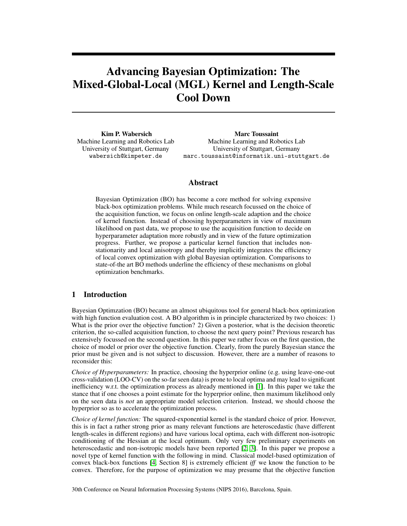# Advancing Bayesian Optimization: The Mixed-Global-Local (MGL) Kernel and Length-Scale Cool Down

Kim P. Wabersich Machine Learning and Robotics Lab University of Stuttgart, Germany wabersich@kimpeter.de

Marc Toussaint Machine Learning and Robotics Lab University of Stuttgart, Germany marc.toussaint@informatik.uni-stuttgart.de

# Abstract

Bayesian Optimization (BO) has become a core method for solving expensive black-box optimization problems. While much research focussed on the choice of the acquisition function, we focus on online length-scale adaption and the choice of kernel function. Instead of choosing hyperparameters in view of maximum likelihood on past data, we propose to use the acquisition function to decide on hyperparameter adaptation more robustly and in view of the future optimization progress. Further, we propose a particular kernel function that includes nonstationarity and local anisotropy and thereby implicitly integrates the efficiency of local convex optimization with global Bayesian optimization. Comparisons to state-of-the art BO methods underline the efficiency of these mechanisms on global optimization benchmarks.

# 1 Introduction

Bayesian Optimzation (BO) became an almost ubiquitous tool for general black-box optimization with high function evaluation cost. A BO algorithm is in principle characterized by two choices: 1) What is the prior over the objective function? 2) Given a posterior, what is the decision theoretic criterion, the so-called acquisition function, to choose the next query point? Previous research has extensively focussed on the second question. In this paper we rather focus on the first question, the choice of model or prior over the objective function. Clearly, from the purely Bayesian stance the prior must be given and is not subject to discussion. However, there are a number of reasons to reconsider this:

*Choice of Hyperparameters:* In practice, choosing the hyperprior online (e.g. using leave-one-out cross-validation (LOO-CV) on the so-far seen data) is prone to local optima and may lead to significant inefficiency w.r.t. the optimization process as already mentioned in [\[1\]](#page-4-0). In this paper we take the stance that if one chooses a point estimate for the hyperprior online, then maximum likelihood only on the seen data is *not* an appropriate model selection criterion. Instead, we should choose the hyperprior so as to accelerate the optimization process.

*Choice of kernel function:* The squared-exponential kernel is the standard choice of prior. However, this is in fact a rather strong prior as many relevant functions are heteroscedastic (have different length-scales in different regions) and have various local optima, each with different non-isotropic conditioning of the Hessian at the local optimum. Only very few preliminary experiments on heteroscedastic and non-isotropic models have been reported [\[2,](#page-4-1) [3\]](#page-4-2). In this paper we propose a novel type of kernel function with the following in mind. Classical model-based optimization of convex black-box functions [\[4,](#page-4-3) Section 8] is extremely efficient *iff* we know the function to be convex. Therefore, for the purpose of optimization we may presume that the objective function

30th Conference on Neural Information Processing Systems (NIPS 2016), Barcelona, Spain.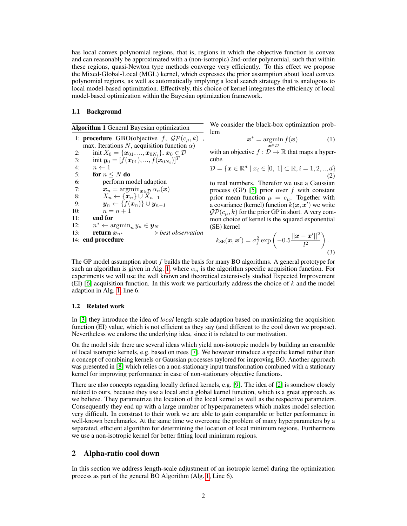has local convex polynomial regions, that is, regions in which the objective function is convex and can reasonably be approximated with a (non-isotropic) 2nd-order polynomial, such that within these regions, quasi-Newton type methods converge very efficiently. To this effect we propose the Mixed-Global-Local (MGL) kernel, which expresses the prior assumption about local convex polynomial regions, as well as automatically implying a local search strategy that is analogous to local model-based optimization. Effectively, this choice of kernel integrates the efficiency of local model-based optimization within the Bayesian optimization framework.

#### 1.1 Background

<span id="page-1-0"></span>Algorithm 1 General Bayesian optimization

1: **procedure** GBO(objective f,  $\mathcal{GP}(c_{\mu}, k)$ , max. Iterations N, acquisition function  $\alpha$ ) 2: init  $X_0 = \{x_{01}, ..., x_{0N_i}\}, x_0 \in \mathcal{D}$ 3: init  $y_0 = [\tilde{f}(\bm{x}_{01}), ..., \tilde{f}(\tilde{\bm{x}}_{0N_i})]^T$ 4:  $n \leftarrow 1$ 5: for  $n \leq N$  do 6: perform model adaption 7:  $\mathbf{x}_n = \operatorname{argmin}_{\mathbf{x} \in \mathcal{D}} \alpha_n(\mathbf{x})$ <br>8:  $X_n \leftarrow \{ \mathbf{x}_n \} \cup X_{n-1}$ 8:  $X_n \leftarrow \{x_n\} \cup X_{n-1}$ <br>9:  $\mathbf{u}_n \leftarrow \{f(\mathbf{x}_n)\} \cup \mathbf{u}_n$  $\boldsymbol{y}_n \leftarrow \{f(\boldsymbol{x}_n)\} \cup \boldsymbol{y}_{n-1}$ 10:  $n = n + 1$ 11: end for  $12:$  $n^* \leftarrow \operatorname{argmin}_n y_n \in \mathbf{y}_N$ <br>
return  $x_{n^*}$  > 13: **return**  $x_{n*}$  *⊳ best observation* 14: end procedure

<span id="page-1-1"></span>We consider the black-box optimization problem

$$
\boldsymbol{x}^* = \operatorname*{argmin}_{\boldsymbol{x} \in \mathcal{D}} f(\boldsymbol{x}) \tag{1}
$$

with an objective  $f : \mathcal{D} \to \mathbb{R}$  that maps a hypercube

$$
\mathcal{D} = \{ \mathbf{x} \in \mathbb{R}^d \mid x_i \in [0, 1] \subset \mathbb{R}, i = 1, 2, ..., d \}
$$
\n(2)

to real numbers. Therefor we use a Gaussian process (GP) [\[5\]](#page-4-4) prior over  $f$  with constant prior mean function  $\mu = c_{\mu}$ . Together with a covariance (kernel) function  $k(x, x')$  we write  $\mathcal{GP}(c_{\mu}, k)$  for the prior GP in short. A very common choice of kernel is the squared exponential (SE) kernel

<span id="page-1-2"></span>
$$
k_{\text{SE}}(\boldsymbol{x}, \boldsymbol{x}') = \sigma_f^2 \exp\left(-0.5\frac{||\boldsymbol{x} - \boldsymbol{x}'||^2}{l^2}\right).
$$
\n(3)

The GP model assumption about  $f$  builds the basis for many BO algorithms. A general prototype for such an algorithm is given in Alg. [1,](#page-1-0) where  $\alpha_n$  is the algorithm specific acquisition function. For experiments we will use the well known and theoretical extensively studied Expected Improvement (EI) [\[6\]](#page-4-5) acquisition function. In this work we particurlarly address the choice of  $k$  and the model adaption in Alg. [1,](#page-1-0) line 6.

#### 1.2 Related work

In [\[3\]](#page-4-2) they introduce the idea of *local* length-scale adaption based on maximizing the acquisition function (EI) value, which is not efficient as they say (and different to the cool down we propose). Nevertheless we endorse the underlying idea, since it is related to our motivation.

On the model side there are several ideas which yield non-isotropic models by building an ensemble of local isotropic kernels, e.g. based on trees [\[7\]](#page-4-6). We however introduce a specific kernel rather than a concept of combining kernels or Gaussian processes taylored for improving BO. Another approach was presented in [\[8\]](#page-4-7) which relies on a non-stationary input transformation combined with a stationary kernel for improving performance in case of non-stationary objective functions.

There are also concepts regarding locally defined kernels, e.g. [\[9\]](#page-4-8). The idea of [\[2\]](#page-4-1) is somehow closely related to ours, because they use a local and a global kernel function, which is a great approach, as we believe. They parametrize the location of the local kernel as well as the respective parameters. Consequently they end up with a large number of hyperparameters which makes model selection very difficult. In constrast to their work we are able to gain comparable or better performance in well-known benchmarks. At the same time we overcome the problem of many hyperparameters by a separated, efficient algorithm for determining the location of local minimum regions. Furthermore we use a non-isotropic kernel for better fitting local minimum regions.

### 2 Alpha-ratio cool down

In this section we address length-scale adjustment of an isotropic kernel during the optimization process as part of the general BO Algorithm (Alg. [1,](#page-1-0) Line 6).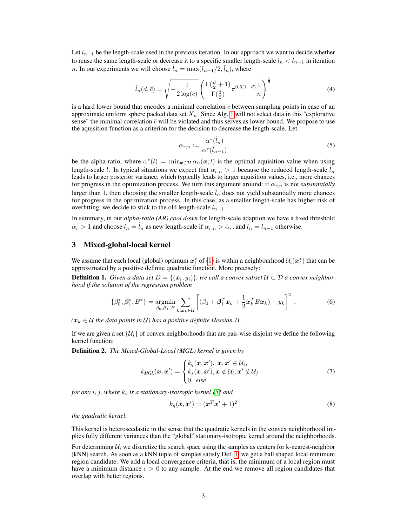Let  $l_{n-1}$  be the length-scale used in the previous iteration. In our approach we want to decide whether to reuse the same length-scale or decrease it to a specific smaller length-scale  $l_n < l_{n-1}$  in iteration *n*. In our experiments we will choose  $\tilde{l}_n = \max(l_{n-1}/2, \bar{l}_n)$ , where

$$
\bar{l}_n(d,\bar{c}) = \sqrt{-\frac{1}{2\log(\bar{c})}} \left( \frac{\Gamma(\frac{d}{2}+1)}{\Gamma(\frac{3}{2})} \pi^{0.5(1-d)} \frac{1}{n} \right)^{\frac{1}{d}} \tag{4}
$$

is a hard lower bound that encodes a minimal correlation  $\bar{c}$  between sampling points in case of an approximate uniform sphere packed data set  $X_n$ . Since Alg. [1](#page-1-0) will not select data in this "explorative" sense" the minimal correlation  $\bar{c}$  will be violated and thus serves as lower bound. We propose to use the aquisition function as a criterion for the decision to decrease the length-scale. Let

$$
\alpha_{r,n} := \frac{\alpha^*(\tilde{l}_n)}{\alpha^*(l_{n-1})}
$$
\n(5)

be the alpha-ratio, where  $\alpha^*(l) = \min_{\mathbf{x} \in \mathcal{D}} \alpha_n(\mathbf{x}; l)$  is the optimal aquisition value when using length-scale l. In typical situations we expect that  $\alpha_{r,n} > 1$  because the reduced length-scale  $l_n$ leads to larger posterior variance, which typically leads to larger aquisition values, i.e., more chances for progress in the optimization process. We turn this argument around: if  $\alpha_{r,n}$  is not *substantially* larger than 1, then choosing the smaller length-scale  $\hat{l}_n$  does not yield substantially more chances for progress in the optimization process. In this case, as a smaller length-scale has higher risk of overfitting, we decide to stick to the old length-scale  $l_{n-1}$ .

In summary, in our *alpha-ratio (AR) cool down* for length-scale adaption we have a fixed threshold  $\bar{\alpha}_r > 1$  and choose  $l_n = \tilde{l}_n$  as new length-scale if  $\alpha_{r,n} > \bar{\alpha}_r$ , and  $l_n = l_{n-1}$  otherwise.

## 3 Mixed-global-local kernel

We assume that each local (global) optimum  $x_i^*$  of [\(1\)](#page-1-1) is within a neighbourhood  $\mathcal{U}_i(x_i^*)$  that can be approximated by a positive definite quadratic function. More precisely:

<span id="page-2-0"></span>**Definition 1.** Given a data set  $D = \{(\boldsymbol{x}_i, y_i)\}\$ , we call a convex subset  $\mathcal{U} \subset \mathcal{D}$  a convex neighbor*hood if the solution of the regression problem*

$$
\{\beta_0^*, \beta_1^*, B^*\} = \underset{\beta_0, \beta_1, B}{\text{argmin}} \sum_{k: \mathbf{x}_k \in \mathcal{U}} \left[ (\beta_0 + \beta_1^T \mathbf{x}_k + \frac{1}{2} \mathbf{x}_k^T B \mathbf{x}_k) - y_k \right]^2, \tag{6}
$$

 $(\mathbf{x}_k \in \mathcal{U})$  *the data points in*  $\mathcal{U}$ *) has a positive definite Hessian B.* 

If we are given a set  $\{\mathcal{U}_i\}$  of convex neighborhoods that are pair-wise disjoint we define the following kernel function:

Definition 2. *The Mixed-Global-Local (MGL) kernel is given by*

$$
k_{MGL}(\boldsymbol{x}, \boldsymbol{x}') = \begin{cases} k_q(\boldsymbol{x}, \boldsymbol{x}'), \ \boldsymbol{x}, \boldsymbol{x}' \in \mathcal{U}_i, \\ k_s(\boldsymbol{x}, \boldsymbol{x}'), \boldsymbol{x} \notin \mathcal{U}_i, \boldsymbol{x}' \notin \mathcal{U}_j \\ 0, \ else \end{cases}
$$
(7)

*for any*  $i, j$ *, where*  $k_s$  *is a stationary-isotropic kernel* [\[5\]](#page-4-4) *and* 

<span id="page-2-1"></span>
$$
k_q(\boldsymbol{x}, \boldsymbol{x}') = (\boldsymbol{x}^T \boldsymbol{x}' + 1)^2 \tag{8}
$$

*the quadratic kernel.*

This kernel is heteroscedastic in the sense that the quadratic kernels in the convex neighborhood implies fully different variances than the "global" stationary-isotropic kernel around the neighborhoods.

For determining  $U_i$  we discretize the search space using the samples as centers for k-nearest-neighbor (kNN) search. As soon as a kNN tuple of samples satisfy Def. [1,](#page-2-0) we get a ball shaped local minimum region candidate. We add a local convergence criteria, that is, the minimum of a local region must have a minimum distance  $\epsilon > 0$  to any sample. At the end we remove all region candidates that overlap with better regions.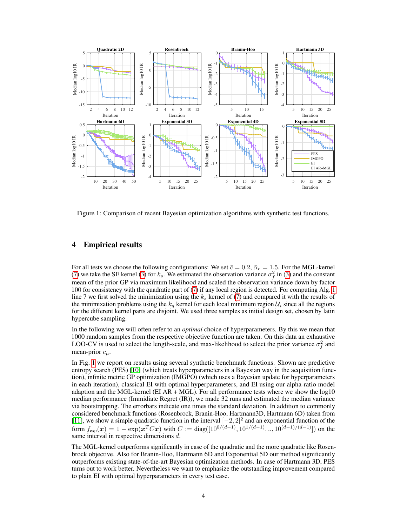<span id="page-3-0"></span>

Figure 1: Comparison of recent Bayesian optimization algorithms with synthetic test functions.

# 4 Empirical results

For all tests we choose the following configurations: We set  $\bar{c} = 0.2$ ,  $\bar{\alpha}_r = 1.5$ . For the MGL-kernel [\(7\)](#page-2-1) we take the SE kernel [\(3\)](#page-1-2) for  $k_s$ . We estimated the observation variance  $\sigma_f^2$  in (3) and the constant mean of the prior GP via maximum likelihood and scaled the observation variance down by factor 100 for consistency with the quadratic part of [\(7\)](#page-2-1) if any local region is detected. For computing Alg. [1](#page-1-0) line 7 we first solved the minimization using the  $k<sub>s</sub>$  kernel of [\(7\)](#page-2-1) and compared it with the results of the minimization problems using the  $k_q$  kernel for each local minimum region  $\mathcal{U}_i$  since all the regions for the different kernel parts are disjoint. We used three samples as initial design set, chosen by latin hypercube sampling.

In the following we will often refer to an *optimal* choice of hyperparameters. By this we mean that 1000 random samples from the respective objective function are taken. On this data an exhaustive LOO-CV is used to select the length-scale, and max-likelihood to select the prior variance  $\sigma_f^2$  and mean-prior  $c_\mu$ .

In Fig. [1](#page-3-0) we report on results using several synthetic benchmark functions. Shown are predictive entropy search (PES) [\[10\]](#page-4-9) (which treats hyperparameters in a Bayesian way in the acquisition function), infinite metric GP optimization (IMGPO) (which uses a Bayesian update for hyperparameters in each iteration), classical EI with optimal hyperparameters, and EI using our alpha-ratio model adaption and the MGL-kernel (EI AR  $+$  MGL). For all performance tests where we show the log10 median performance (Immidiate Regret (IR)), we made 32 runs and estimated the median variance via bootstrapping. The errorbars indicate one times the standard deviation. In addition to commonly considered benchmark functions (Rosenbrock, Branin-Hoo, Hartmann3D, Hartmann 6D) taken from [\[11\]](#page-4-10), we show a simple quadratic function in the interval  $[-2, 2]^2$  and an exponential function of the form  $f_{\text{exp}}(x) = 1 - \exp(x^T C x)$  with  $C := \text{diag}([10^{0/(d-1)}, 10^{1/(d-1)}, \dots, 10^{(d-1)/(d-1)}])$  on the same interval in respective dimensions d.

The MGL-kernel outperforms significantly in case of the quadratic and the more quadratic like Rosenbrock objective. Also for Branin-Hoo, Hartmann 6D and Exponential 5D our method significantly outperforms existing state-of-the-art Bayesian optimization methods. In case of Hartmann 3D, PES turns out to work better. Nevertheless we want to emphasize the outstanding improvement compared to plain EI with optimal hyperparameters in every test case.